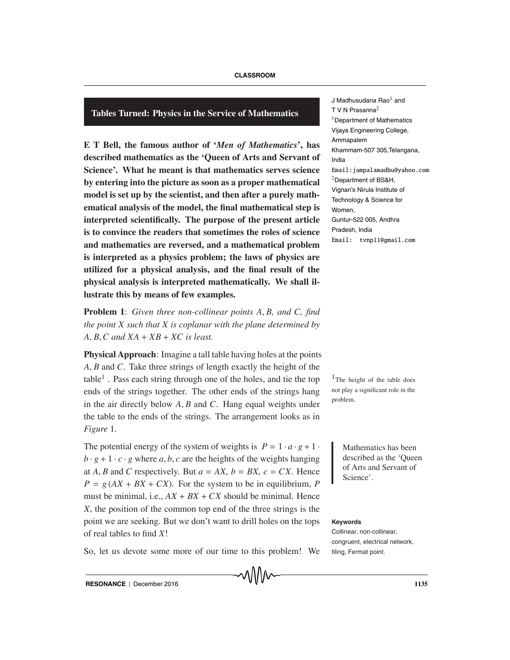# **Tables Turned: Physics in the Service of Mathematics**

**E T Bell, the famous author of '***Men of Mathematics***', has described mathematics as the 'Queen of Arts and Servant of Science'. What he meant is that mathematics serves science by entering into the picture as soon as a proper mathematical model is set up by the scientist, and then after a purely mathematical analysis of the model, the final mathematical step is interpreted scientifically. The purpose of the present article is to convince the readers that sometimes the roles of science and mathematics are reversed, and a mathematical problem is interpreted as a physics problem; the laws of physics are utilized for a physical analysis, and the final result of the physical analysis is interpreted mathematically. We shall illustrate this by means of few examples.**

**Problem 1**: *Given three non-collinear points A*, *B, and C, find the point X such that X is coplanar with the plane determined by A*, *B*,*C and XA* + *XB* + *XC is least.*

**Physical Approach**: Imagine a tall table having holes at the points *A*, *B* and *C*. Take three strings of length exactly the height of the table<sup>1</sup>. Pass each string through one of the holes, and tie the top  $1$ The height of the table does ends of the strings together. The other ends of the strings hang in the air directly below *A*, *B* and *C*. Hang equal weights under the table to the ends of the strings. The arrangement looks as in *Figure* 1.

The potential energy of the system of weights is  $P = 1 \cdot a \cdot g + 1$  Mathematics has been  $b \cdot g + 1 \cdot c \cdot g$  where *a*, *b*, *c* are the heights of the weights hanging at *A*, *B* and *C* respectively. But  $a = AX$ ,  $b = BX$ ,  $c = CX$ . Hence  $P = g (AX + BX + CX)$ . For the system to be in equilibrium, *P* must be minimal, i.e.,  $AX + BX + CX$  should be minimal. Hence *X*, the position of the common top end of the three strings is the point we are seeking. But we don't want to drill holes on the tops of real tables to find *X*!

So, let us devote some more of our time to this problem! We

J Madhusudana Rao $<sup>1</sup>$  and</sup> T V N Prasanna $2$ <sup>1</sup>Department of Mathematics Vijaya Engineering College, Ammapalem Khammam-507 305,Telangana, India Email: jampalamadhu@yahoo.com  $2$ Department of BS&H, Vignan's Nirula Institute of Technology & Science for Women, Guntur-522 005, Andhra Pradesh, India

Email: tvnp11@gmail.com

not play a significant role in the problem.

> described as the 'Queen of Arts and Servant of Science'.

#### **Keywords**

Collinear, non-collinear, congruent, electrical network, tiling, Fermat point.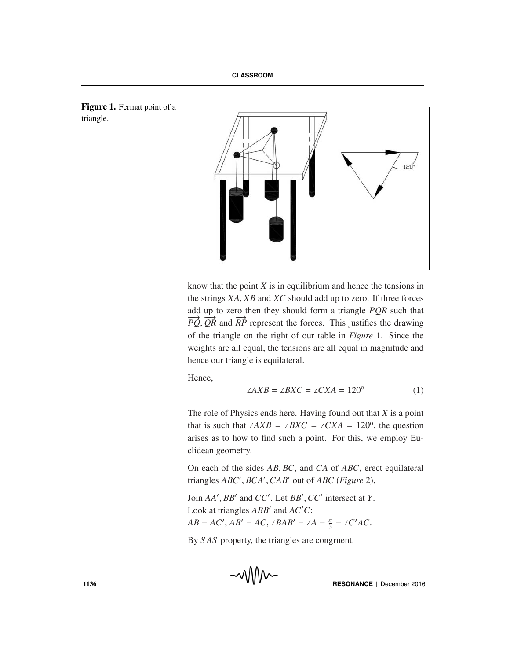



know that the point *X* is in equilibrium and hence the tensions in the strings *XA*, *XB* and *XC* should add up to zero. If three forces add up to zero then they should form a triangle *PQR* such that  $\overrightarrow{PQ}$ ,  $\overrightarrow{QR}$  and  $\overrightarrow{RP}$  represent the forces. This justifies the drawing of the triangle on the right of our table in *Figure* 1. Since the weights are all equal, the tensions are all equal in magnitude and hence our triangle is equilateral.

Hence,

$$
\angle AXB = \angle BXC = \angle CXA = 120^{\circ} \tag{1}
$$

The role of Physics ends here. Having found out that *X* is a point that is such that  $\angle AXB = \angle BXC = \angle CXA = 120^{\circ}$ , the question arises as to how to find such a point. For this, we employ Euclidean geometry.

On each of the sides *AB*, *BC*, and *CA* of *ABC*, erect equilateral triangles *ABC* , *BCA* ,*CAB* out of *ABC* (*Figure* 2).

*Join AA'*, *BB'* and *CC'*. Let *BB'*, *CC'* intersect at *Y*. Look at triangles *ABB'* and *AC'C*:  $AB = AC'$ ,  $AB' = AC$ ,  $\angle BAB' = \angle A = \frac{\pi}{3} = \angle C'AC$ .

By *S AS* property, the triangles are congruent.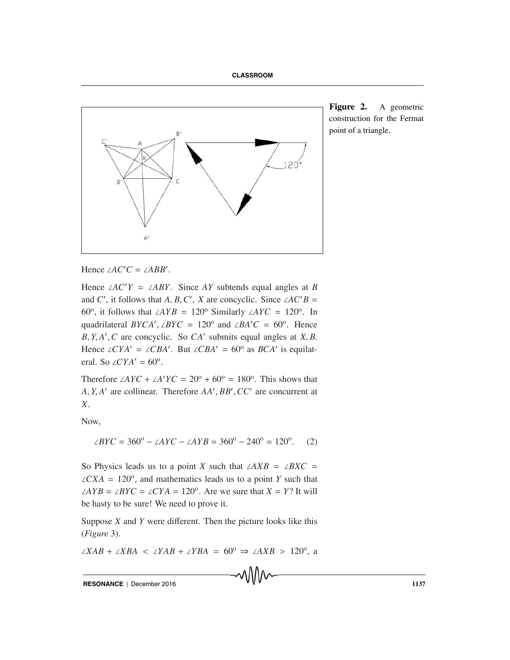

**Figure 2.** A geometric construction for the Fermat point of a triangle.

Hence  $\angle AC'C = \angle ABB'$ .

Hence ∠*AC Y* = ∠*ABY*. Since *AY* subtends equal angles at *B* and *C'*, it follows that *A*, *B*, *C'*, *X* are concyclic. Since ∠*AC'B* = 60<sup>o</sup>, it follows that ∠*AYB* = 120<sup>o</sup> Similarly ∠*AYC* = 120<sup>o</sup>. In quadrilateral *BYCA'*, ∠*BYC* = 120<sup>o</sup> and ∠*BA'C* = 60<sup>o</sup>. Hence *B*, *Y*, *A* ,*C* are concyclic. So *CA* submits equal angles at *X*, *B*. Hence ∠*CYA'* = ∠*CBA'*. But ∠*CBA'* = 60° as *BCA'* is equilateral. So  $\angle CYA' = 60^\circ$ .

Therefore  $\angle AYC + \angle A'YC = 20^{\circ} + 60^{\circ} = 180^{\circ}$ . This shows that *A*, *Y*, *A* are collinear. Therefore *AA* , *BB* ,*CC* are concurrent at *X*.

Now,

$$
\angle BYC = 360^{\circ} - \angle AYC - \angle AYB = 360^{\circ} - 240^{\circ} = 120^{\circ}. \tag{2}
$$

So Physics leads us to a point *X* such that ∠*AXB* = ∠*BXC* =  $\angle$ *CXA* = 120<sup>o</sup>, and mathematics leads us to a point *Y* such that ∠*AYB* = ∠*BYC* = ∠*CYA* = 120<sup>o</sup>. Are we sure that *X* = *Y*? It will be hasty to be sure! We need to prove it.

Suppose *X* and *Y* were different. Then the picture looks like this (*Figure* 3).

<sup>∠</sup>*XAB* <sup>+</sup> <sup>∠</sup>*XBA* <sup>&</sup>lt; <sup>∠</sup>*YAB* <sup>+</sup> <sup>∠</sup>*YBA* <sup>=</sup> 60o <sup>⇒</sup> <sup>∠</sup>*AXB* <sup>&</sup>gt; 120o, a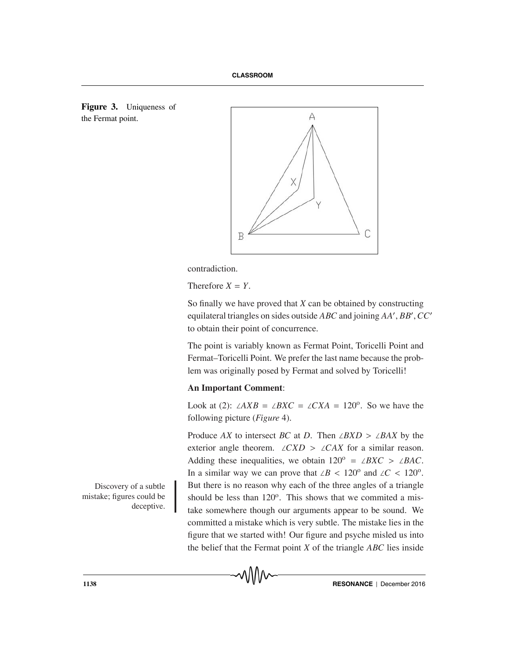



contradiction.

Therefore  $X = Y$ .

So finally we have proved that *X* can be obtained by constructing equilateral triangles on sides outside *ABC* and joining *AA* , *BB* ,*CC* to obtain their point of concurrence.

The point is variably known as Fermat Point, Toricelli Point and Fermat–Toricelli Point. We prefer the last name because the problem was originally posed by Fermat and solved by Toricelli!

## **An Important Comment**:

Look at (2): ∠*AXB* = ∠*BXC* = ∠*CXA* = 120<sup>o</sup>. So we have the following picture (*Figure* 4).

Produce *AX* to intersect *BC* at *D*. Then ∠*BXD* > ∠*BAX* by the exterior angle theorem. ∠*CXD* > ∠*CAX* for a similar reason. Adding these inequalities, we obtain  $120^{\circ} = \angle BXC > \angle BAC$ . In a similar way we can prove that ∠*B* < 120<sup>o</sup> and ∠*C* < 120<sup>o</sup>. But there is no reason why each of the three angles of a triangle should be less than  $120^{\circ}$ . This shows that we commited a mistake somewhere though our arguments appear to be sound. We committed a mistake which is very subtle. The mistake lies in the figure that we started with! Our figure and psyche misled us into the belief that the Fermat point *X* of the triangle *ABC* lies inside

Discovery of a subtle mistake; figures could be deceptive.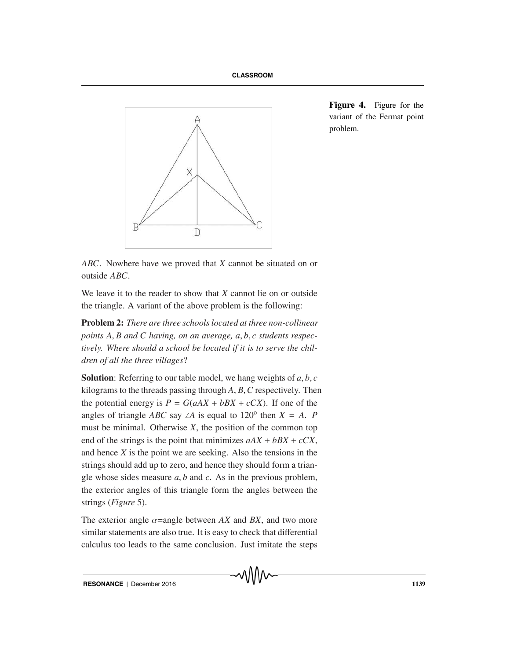

**Figure 4.** Figure for the variant of the Fermat point problem.

*ABC*. Nowhere have we proved that *X* cannot be situated on or outside *ABC*.

We leave it to the reader to show that *X* cannot lie on or outside the triangle. A variant of the above problem is the following:

**Problem 2:** *There are three schools located at three non-collinear points A*, *B and C having, on an average, a*, *b*, *c students respectively. Where should a school be located if it is to serve the children of all the three villages*?

**Solution**: Referring to our table model, we hang weights of *a*, *b*, *c* kilograms to the threads passing through *A*, *B*,*C* respectively. Then the potential energy is  $P = G(aAX + bBX + cCX)$ . If one of the angles of triangle *ABC* say ∠*A* is equal to 120<sup>o</sup> then  $X = A$ . *P* must be minimal. Otherwise *X*, the position of the common top end of the strings is the point that minimizes  $aAX + bBX + cCX$ , and hence *X* is the point we are seeking. Also the tensions in the strings should add up to zero, and hence they should form a triangle whose sides measure *a*, *b* and *c*. As in the previous problem, the exterior angles of this triangle form the angles between the strings (*Figure* 5).

The exterior angle  $\alpha$ =angle between AX and BX, and two more similar statements are also true. It is easy to check that differential calculus too leads to the same conclusion. Just imitate the steps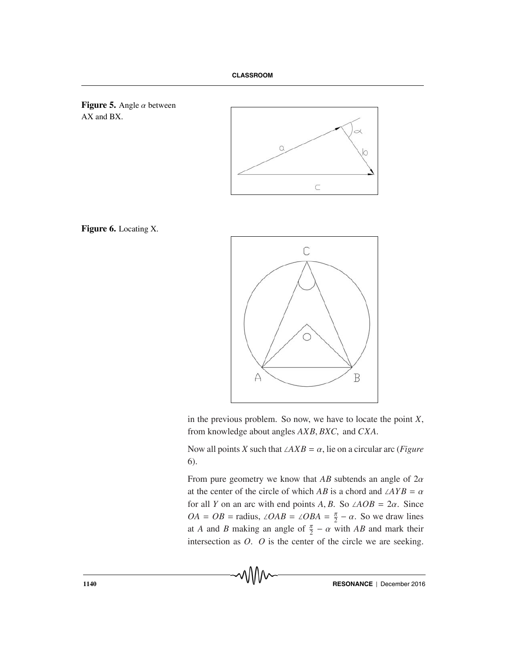



**Figure 6.** Locating X.



in the previous problem. So now, we have to locate the point *X*, from knowledge about angles *AXB*, *BXC*, and *CXA*.

Now all points *X* such that  $\angle AXB = \alpha$ , lie on a circular arc (*Figure* 6).

From pure geometry we know that *AB* subtends an angle of 2α at the center of the circle of which *AB* is a chord and ∠*AYB* =  $\alpha$ for all *Y* on an arc with end points *A*, *B*. So ∠*AOB* =  $2\alpha$ . Since  $OA = OB =$  radius,  $\angle OAB = \angle OBA = \frac{\pi}{2} - \alpha$ . So we draw lines at *A* and *B* making an angle of  $\frac{\pi}{2} - \alpha$  with *AB* and mark their intersection as *O*. *O* is the center of the circle we are seeking.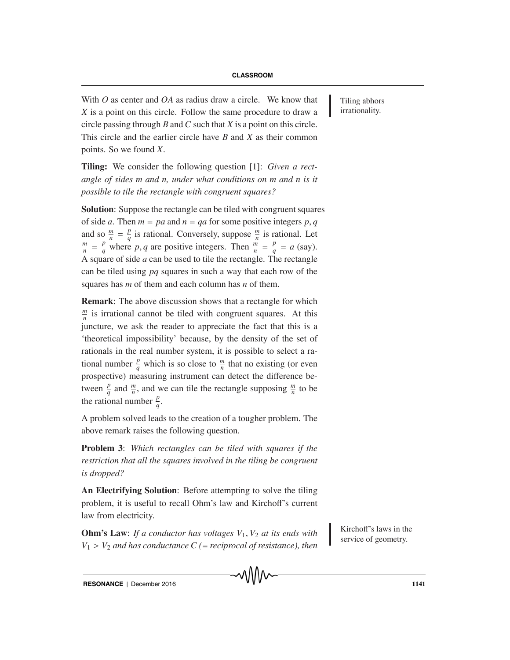With  $O$  as center and  $OA$  as radius draw a circle. We know that Tiling abhors *X* is a point on this circle. Follow the same procedure to draw a circle passing through *B* and *C* such that *X* is a point on this circle. This circle and the earlier circle have *B* and *X* as their common points. So we found *X*.

**Tiling:** We consider the following question [1]: *Given a rectangle of sides m and n, under what conditions on m and n is it possible to tile the rectangle with congruent squares?*

**Solution**: Suppose the rectangle can be tiled with congruent squares of side *a*. Then  $m = pa$  and  $n = qa$  for some positive integers  $p, q$ and so  $\frac{m}{n} = \frac{p}{q}$  is rational. Conversely, suppose  $\frac{m}{n}$  is rational. Let  $\frac{m}{n} - \frac{p}{n}$  where *n a* are positive integers. Then  $\frac{m}{n} - \frac{p}{n} - a$  (say)  $\frac{m}{n} = \frac{p}{q}$  where *p*, *q* are positive integers. Then  $\frac{m}{n} = \frac{p}{q} = a$  (say). A square of side *a* can be used to tile the rectangle. The rectangle can be tiled using *pq* squares in such a way that each row of the squares has *m* of them and each column has *n* of them.

**Remark**: The above discussion shows that a rectangle for which  $\frac{m}{n}$  is irrational cannot be tiled with congruent squares. At this juncture, we ask the reader to appreciate the fact that this is a 'theoretical impossibility' because, by the density of the set of rationals in the real number system, it is possible to select a rational number  $\frac{p}{q}$  which is so close to  $\frac{m}{n}$  that no existing (or even prospective) measuring instrument can detect the difference between  $\frac{p}{q}$  and  $\frac{m}{n}$ , and we can tile the rectangle supposing  $\frac{m}{n}$  to be the rational number  $\frac{p}{q}$ .

A problem solved leads to the creation of a tougher problem. The above remark raises the following question.

**Problem 3**: *Which rectangles can be tiled with squares if the restriction that all the squares involved in the tiling be congruent is dropped?*

**An Electrifying Solution**: Before attempting to solve the tiling problem, it is useful to recall Ohm's law and Kirchoff's current law from electricity.

**Ohm's Law**: *If a conductor has voltages*  $V_1$ ,  $V_2$  *at its ends with* service of geometry.  $V_1 > V_2$  *and has conductance C (= reciprocal of resistance), then* 

Kirchoff's laws in the

irrationality.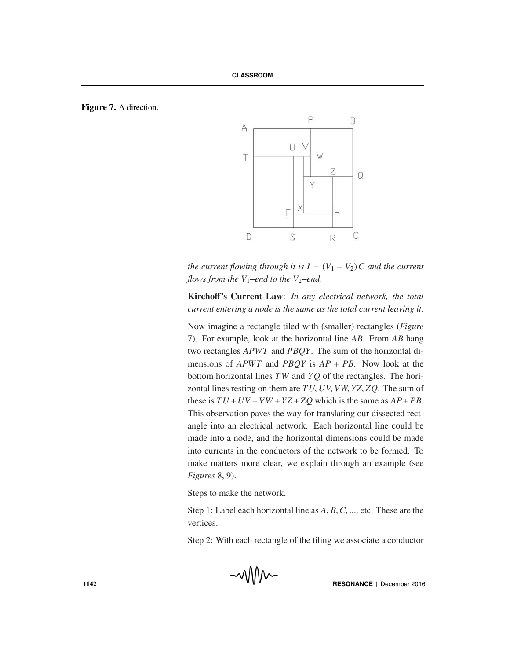



*the current flowing through it is*  $I = (V_1 - V_2)C$  *and the current flows from the V*<sub>1</sub>–end to the V<sub>2</sub>–end.

**Kircho**ff**'s Current Law**: *In any electrical network, the total current entering a node is the same as the total current leaving it*.

Now imagine a rectangle tiled with (smaller) rectangles (*Figure* 7). For example, look at the horizontal line *AB*. From *AB* hang two rectangles *APWT* and *PBQY*. The sum of the horizontal dimensions of *APWT* and *PBQY* is *AP* + *PB*. Now look at the bottom horizontal lines *TW* and *YQ* of the rectangles. The horizontal lines resting on them are *TU*, *UV*, *VW*, *YZ*, *ZQ*. The sum of these is  $TU + UV + VW + YZ + ZQ$  which is the same as  $AP + PB$ . This observation paves the way for translating our dissected rectangle into an electrical network. Each horizontal line could be made into a node, and the horizontal dimensions could be made into currents in the conductors of the network to be formed. To make matters more clear, we explain through an example (see *Figures* 8, 9).

Steps to make the network.

Step 1: Label each horizontal line as *A*, *B*,*C*, ..., etc. These are the vertices.

Step 2: With each rectangle of the tiling we associate a conductor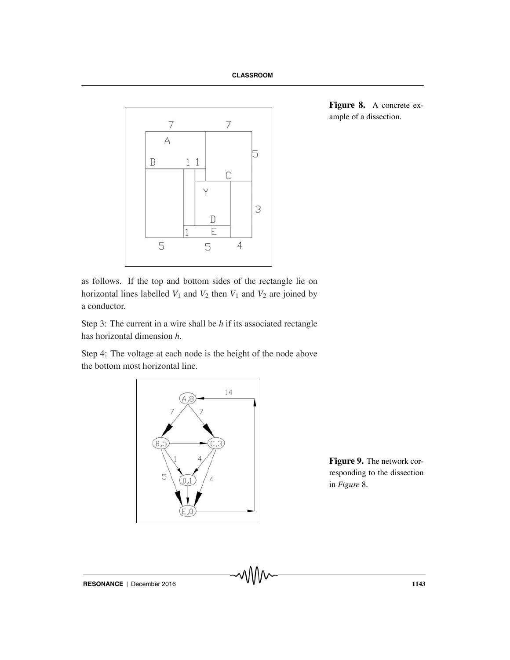

**Figure 8.** A concrete example of a dissection.

as follows. If the top and bottom sides of the rectangle lie on horizontal lines labelled  $V_1$  and  $V_2$  then  $V_1$  and  $V_2$  are joined by a conductor.

Step 3: The current in a wire shall be *h* if its associated rectangle has horizontal dimension *h*.

Step 4: The voltage at each node is the height of the node above the bottom most horizontal line.



**Figure 9.** The network corresponding to the dissection in *Figure* 8.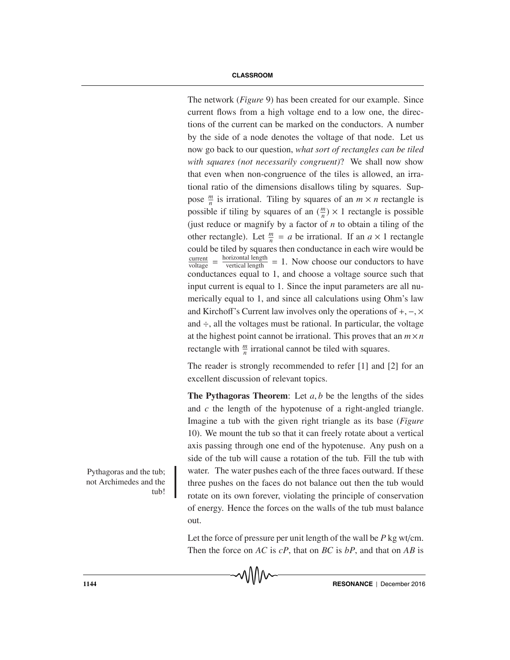The network (*Figure* 9) has been created for our example. Since current flows from a high voltage end to a low one, the directions of the current can be marked on the conductors. A number by the side of a node denotes the voltage of that node. Let us now go back to our question, *what sort of rectangles can be tiled with squares (not necessarily congruent)*? We shall now show that even when non-congruence of the tiles is allowed, an irrational ratio of the dimensions disallows tiling by squares. Suppose  $\frac{m}{n}$  is irrational. Tiling by squares of an  $m \times n$  rectangle is possible if tiling by squares of an  $(\frac{m}{n}) \times 1$  rectangle is possible (just reduce or magnify by a factor of *n* to obtain a tiling of the other rectangle). Let  $\frac{m}{n} = a$  be irrational. If an  $a \times 1$  rectangle could be tiled by squares then conductance in each wire would be  $\frac{\text{current}}{\text{voltage}} = \frac{\text{horizontal length}}{\text{vertical length}} = 1$ . Now choose our conductors to have conductances equal to 1, and choose a voltage source such that input current is equal to 1. Since the input parameters are all numerically equal to 1, and since all calculations using Ohm's law and Kirchoff's Current law involves only the operations of  $+, -$ ,  $\times$ and  $\div$ , all the voltages must be rational. In particular, the voltage at the highest point cannot be irrational. This proves that an  $m \times n$ rectangle with  $\frac{m}{n}$  irrational cannot be tiled with squares.

The reader is strongly recommended to refer [1] and [2] for an excellent discussion of relevant topics.

**The Pythagoras Theorem**: Let *a*, *b* be the lengths of the sides and *c* the length of the hypotenuse of a right-angled triangle. Imagine a tub with the given right triangle as its base (*Figure* 10). We mount the tub so that it can freely rotate about a vertical axis passing through one end of the hypotenuse. Any push on a side of the tub will cause a rotation of the tub. Fill the tub with water. The water pushes each of the three faces outward. If these three pushes on the faces do not balance out then the tub would rotate on its own forever, violating the principle of conservation of energy. Hence the forces on the walls of the tub must balance out.

Let the force of pressure per unit length of the wall be *P* kg wt/cm. Then the force on *AC* is *cP*, that on *BC* is *bP*, and that on *AB* is

Pythagoras and the tub; not Archimedes and the tub!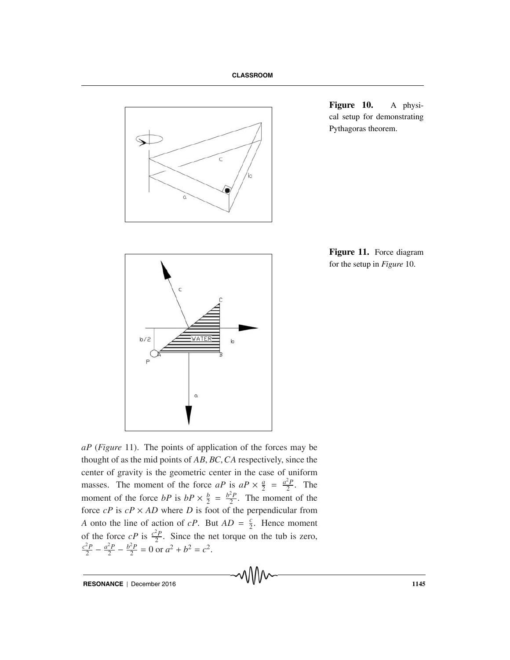

**Figure 10.** A physical setup for demonstrating Pythagoras theorem.





*aP* (*Figure* 11). The points of application of the forces may be thought of as the mid points of *AB*, *BC*,*CA* respectively, since the center of gravity is the geometric center in the case of uniform masses. The moment of the force *aP* is  $aP \times \frac{a}{2} = \frac{a^2P}{2}$ . The moment of the force *bP* is  $bP \times \frac{b}{2} = \frac{b^2P}{2}$ . The moment of the force  $cP$  is  $cP \times AD$  where *D* is foot of the perpendicular from *A* onto the line of action of *cP*. But  $AD = \frac{c}{2}$ . Hence moment of the force  $cP$  is  $\frac{c^2P}{2}$ . Since the net torque on the tub is zero,  $\frac{c^2P}{2} - \frac{a^2P}{2} - \frac{b^2P}{2} = 0$  or  $a^2 + b^2 = c^2$ .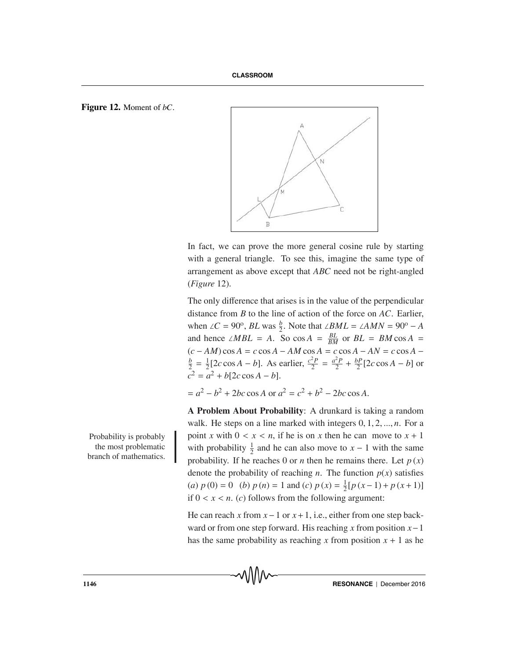### **Figure 12.** Moment of *bC*.



In fact, we can prove the more general cosine rule by starting with a general triangle. To see this, imagine the same type of arrangement as above except that *ABC* need not be right-angled (*Figure* 12).

The only difference that arises is in the value of the perpendicular distance from *B* to the line of action of the force on *AC*. Earlier, when ∠*C* = 90<sup>o</sup>, *BL* was  $\frac{b}{2}$ . Note that ∠*BML* = ∠*AMN* = 90<sup>o</sup> − *A* and hence ∠*MBL* = *A*. So cos *A* =  $\frac{BL}{BM}$  or *BL* = *BM* cos *A* =  $(c - AM) \cos A = c \cos A - AM \cos A = c \cos A - AN = c \cos A - b$ <br>  $\frac{b}{c} - \frac{1}{2} \cos C \cos A - b$  As earlier  $\frac{c^2 P}{c^2} - \frac{a^2 P}{c^2} + \frac{b P}{c^2} \cos A - b$  or  $\frac{b}{2} = \frac{1}{2} [2c \cos A - b]$ . As earlier,  $\frac{c^2 P}{2} = \frac{a^2 P}{2} + \frac{b P}{2} [2c \cos A - b]$  or  $c^2 = a^2 + b[2c \cos A - b].$ 

 $= a^2 - b^2 + 2bc \cos A$  or  $a^2 = c^2 + b^2 - 2bc \cos A$ .

**A Problem About Probability**: A drunkard is taking a random walk. He steps on a line marked with integers 0, 1, 2, ..., *n*. For a Probability is probably point *x* with  $0 < x < n$ , if he is on *x* then he can move to  $x + 1$ with probability  $\frac{1}{2}$  and he can also move to  $x - 1$  with the same probability. If he reaches 0 or *n* then he remains there. Let  $p(x)$ denote the probability of reaching *n*. The function  $p(x)$  satisfies (*a*)  $p(0) = 0$  (*b*)  $p(n) = 1$  and (*c*)  $p(x) = \frac{1}{2}[p(x-1) + p(x+1)]$ if  $0 \le x \le n$ . (*c*) follows from the following argument:

> He can reach *x* from *x*−1 or *x*+1, i.e., either from one step backward or from one step forward. His reaching *x* from position *x*−1 has the same probability as reaching x from position  $x + 1$  as he

the most problematic branch of mathematics.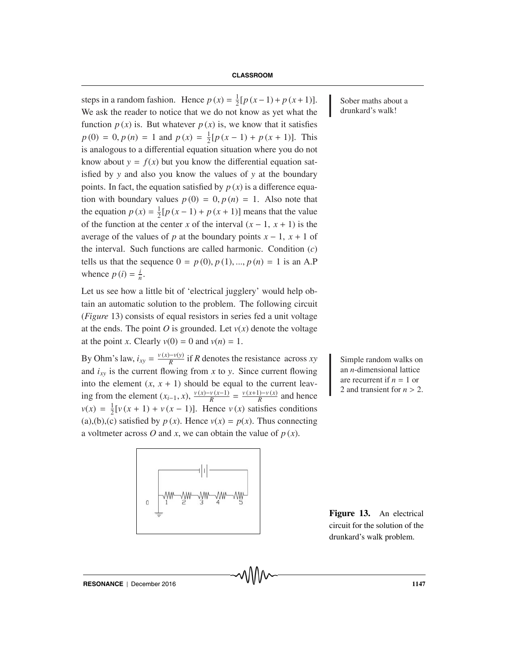steps in a random fashion. Hence  $p(x) = \frac{1}{2} [p(x-1) + p(x+1)]$ . Sober maths about a We ask the reader to notice that we do not know as yet what the function  $p(x)$  is. But whatever  $p(x)$  is, we know that it satisfies  $p(0) = 0, p(n) = 1$  and  $p(x) = \frac{1}{2}[p(x-1) + p(x+1)].$  This is analogous to a differential equation situation where you do not know about  $y = f(x)$  but you know the differential equation satisfied by *y* and also you know the values of *y* at the boundary points. In fact, the equation satisfied by  $p(x)$  is a difference equation with boundary values  $p(0) = 0$ ,  $p(n) = 1$ . Also note that the equation  $p(x) = \frac{1}{2} [p(x-1) + p(x+1)]$  means that the value of the function at the center *x* of the interval  $(x - 1, x + 1)$  is the average of the values of *p* at the boundary points  $x - 1$ ,  $x + 1$  of the interval. Such functions are called harmonic. Condition (*c*) tells us that the sequence  $0 = p(0), p(1), ..., p(n) = 1$  is an A.P whence  $p(i) = \frac{i}{n}$ .

Let us see how a little bit of 'electrical jugglery' would help obtain an automatic solution to the problem. The following circuit (*Figure* 13) consists of equal resistors in series fed a unit voltage at the ends. The point *O* is grounded. Let  $v(x)$  denote the voltage at the point *x*. Clearly  $v(0) = 0$  and  $v(n) = 1$ .

By Ohm's law,  $i_{xy} = \frac{v(x) - v(y)}{R}$  if *R* denotes the resistance across *xy* Simple random walks on and  $i_{xy}$  is the current flowing from *x* to *y*. Since current flowing into the element  $(x, x + 1)$  should be equal to the current leaving from the element  $(x_{i-1}, x)$ ,  $\frac{v(x)-v(x-1)}{R} = \frac{v(x+1)-v(x)}{R}$  and hence  $v(x) = \frac{1}{2} [v(x+1) + v(x-1)]$ . Hence  $v(x)$  satisfies conditions (a),(b),(c) satisfied by  $p(x)$ . Hence  $v(x) = p(x)$ . Thus connecting a voltmeter across *O* and *x*, we can obtain the value of  $p(x)$ .

an *n*-dimensional lattice are recurrent if  $n = 1$  or 2 and transient for  $n > 2$ .

drunkard's walk!

**Figure 13.** An electrical circuit for the solution of the drunkard's walk problem.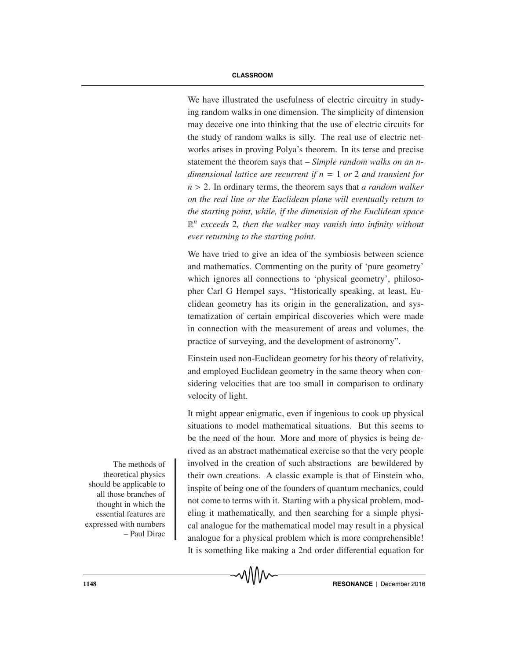We have illustrated the usefulness of electric circuitry in studying random walks in one dimension. The simplicity of dimension may deceive one into thinking that the use of electric circuits for the study of random walks is silly. The real use of electric networks arises in proving Polya's theorem. In its terse and precise statement the theorem says that – *Simple random walks on an ndimensional lattice are recurrent if n* = 1 *or* 2 *and transient for n* > 2. In ordinary terms, the theorem says that *a random walker on the real line or the Euclidean plane will eventually return to the starting point, while, if the dimension of the Euclidean space* R*<sup>n</sup> exceeds* 2*, then the walker may vanish into infinity without ever returning to the starting point*.

We have tried to give an idea of the symbiosis between science and mathematics. Commenting on the purity of 'pure geometry' which ignores all connections to 'physical geometry', philosopher Carl G Hempel says, "Historically speaking, at least, Euclidean geometry has its origin in the generalization, and systematization of certain empirical discoveries which were made in connection with the measurement of areas and volumes, the practice of surveying, and the development of astronomy".

Einstein used non-Euclidean geometry for his theory of relativity, and employed Euclidean geometry in the same theory when considering velocities that are too small in comparison to ordinary velocity of light.

It might appear enigmatic, even if ingenious to cook up physical situations to model mathematical situations. But this seems to be the need of the hour. More and more of physics is being derived as an abstract mathematical exercise so that the very people The methods of involved in the creation of such abstractions are bewildered by their own creations. A classic example is that of Einstein who, inspite of being one of the founders of quantum mechanics, could not come to terms with it. Starting with a physical problem, modeling it mathematically, and then searching for a simple physical analogue for the mathematical model may result in a physical analogue for a physical problem which is more comprehensible! It is something like making a 2nd order differential equation for

theoretical physics should be applicable to all those branches of thought in which the essential features are expressed with numbers – Paul Dirac